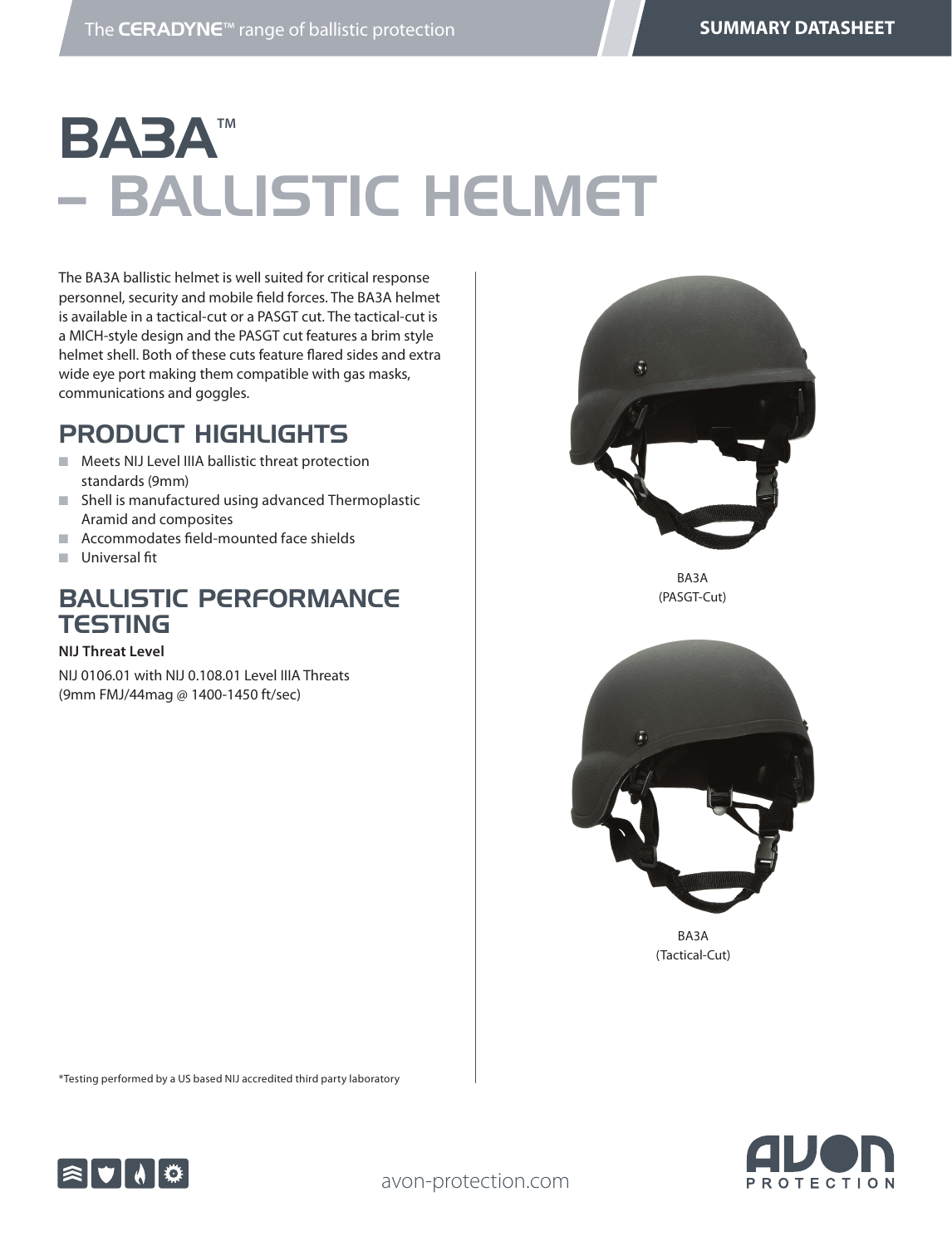# **BABA™** – BALLISTIC HELMET

The BA3A ballistic helmet is well suited for critical response personnel, security and mobile field forces. The BA3A helmet is available in a tactical-cut or a PASGT cut. The tactical-cut is a MICH-style design and the PASGT cut features a brim style helmet shell. Both of these cuts feature flared sides and extra wide eye port making them compatible with gas masks, communications and goggles.

## PRODUCT HIGHLIGHTS

- Meets NIJ Level IIIA ballistic threat protection standards (9mm)
- Shell is manufactured using advanced Thermoplastic Aramid and composites
- $\blacksquare$  Accommodates field-mounted face shields
- **n** Universal fit

## BALLISTIC PERFORMANCE **TESTING**

#### **NIJ Threat Level**

NIJ 0106.01 with NIJ 0.108.01 Level IIIA Threats (9mm FMJ/44mag @ 1400-1450 ft/sec)



BA3A (PASGT-Cut)



(Tactical-Cut)



\*Testing performed by a US based NIJ accredited third party laboratory